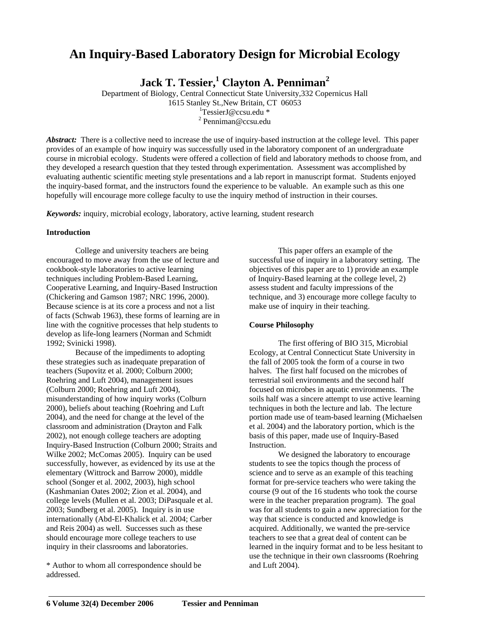# **An Inquiry-Based Laboratory Design for Microbial Ecology**

**Jack T. Tessier,<sup>1</sup> Clayton A. Penniman<sup>2</sup>**

Department of Biology, Central Connecticut State University,332 Copernicus Hall 1615 Stanley St.,New Britain, CT 06053 <sup>1</sup>

<sup>1</sup>TessierJ@ccsu.edu \*

 $2$  Penniman@ccsu.edu

*Abstract:* There is a collective need to increase the use of inquiry-based instruction at the college level. This paper provides of an example of how inquiry was successfully used in the laboratory component of an undergraduate course in microbial ecology. Students were offered a collection of field and laboratory methods to choose from, and they developed a research question that they tested through experimentation. Assessment was accomplished by evaluating authentic scientific meeting style presentations and a lab report in manuscript format. Students enjoyed the inquiry-based format, and the instructors found the experience to be valuable. An example such as this one hopefully will encourage more college faculty to use the inquiry method of instruction in their courses.

*Keywords:* inquiry, microbial ecology, laboratory, active learning, student research

# **Introduction**

College and university teachers are being encouraged to move away from the use of lecture and cookbook-style laboratories to active learning techniques including Problem-Based Learning, Cooperative Learning, and Inquiry-Based Instruction (Chickering and Gamson 1987; NRC 1996, 2000). Because science is at its core a process and not a list of facts (Schwab 1963), these forms of learning are in line with the cognitive processes that help students to develop as life-long learners (Norman and Schmidt 1992; Svinicki 1998).

Because of the impediments to adopting these strategies such as inadequate preparation of teachers (Supovitz et al. 2000; Colburn 2000; Roehring and Luft 2004), management issues (Colburn 2000; Roehring and Luft 2004), misunderstanding of how inquiry works (Colburn 2000), beliefs about teaching (Roehring and Luft 2004), and the need for change at the level of the classroom and administration (Drayton and Falk 2002), not enough college teachers are adopting Inquiry-Based Instruction (Colburn 2000; Straits and Wilke 2002; McComas 2005). Inquiry can be used successfully, however, as evidenced by its use at the elementary (Wittrock and Barrow 2000), middle school (Songer et al. 2002, 2003), high school (Kashmanian Oates 2002; Zion et al. 2004), and college levels (Mullen et al. 2003; DiPasquale et al. 2003; Sundberg et al. 2005). Inquiry is in use internationally (Abd-El-Khalick et al. 2004; Carber and Reis 2004) as well. Successes such as these should encourage more college teachers to use inquiry in their classrooms and laboratories.

\* Author to whom all correspondence should be addressed.

This paper offers an example of the successful use of inquiry in a laboratory setting. The objectives of this paper are to 1) provide an example of Inquiry-Based learning at the college level, 2) assess student and faculty impressions of the technique, and 3) encourage more college faculty to make use of inquiry in their teaching.

# **Course Philosophy**

The first offering of BIO 315, Microbial Ecology, at Central Connecticut State University in the fall of 2005 took the form of a course in two halves. The first half focused on the microbes of terrestrial soil environments and the second half focused on microbes in aquatic environments. The soils half was a sincere attempt to use active learning techniques in both the lecture and lab. The lecture portion made use of team-based learning (Michaelsen et al. 2004) and the laboratory portion, which is the basis of this paper, made use of Inquiry-Based Instruction.

We designed the laboratory to encourage students to see the topics though the process of science and to serve as an example of this teaching format for pre-service teachers who were taking the course (9 out of the 16 students who took the course were in the teacher preparation program). The goal was for all students to gain a new appreciation for the way that science is conducted and knowledge is acquired. Additionally, we wanted the pre-service teachers to see that a great deal of content can be learned in the inquiry format and to be less hesitant to use the technique in their own classrooms (Roehring and Luft 2004).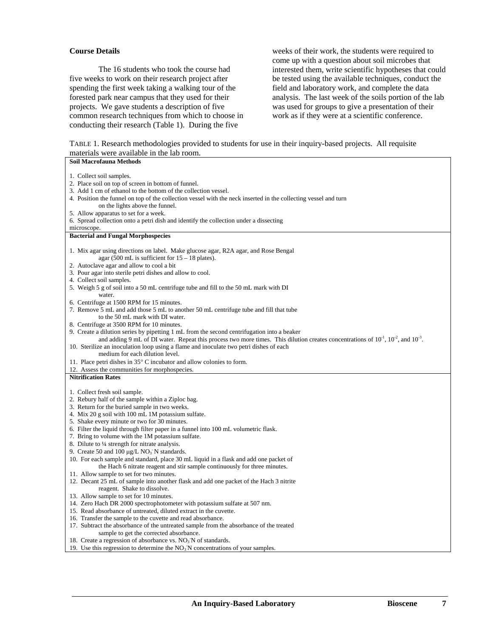# **Course Details**

The 16 students who took the course had five weeks to work on their research project after spending the first week taking a walking tour of the forested park near campus that they used for their projects. We gave students a description of five common research techniques from which to choose in conducting their research (Table 1). During the five

weeks of their work, the students were required to come up with a question about soil microbes that interested them, write scientific hypotheses that could be tested using the available techniques, conduct the field and laboratory work, and complete the data analysis. The last week of the soils portion of the lab was used for groups to give a presentation of their work as if they were at a scientific conference.

| TABLE 1. Research methodologies provided to students for use in their inquiry-based projects. All requisite |  |
|-------------------------------------------------------------------------------------------------------------|--|
| materials were available in the lab room.                                                                   |  |

| Soil Macrofauna Methods                                                                                                                          |
|--------------------------------------------------------------------------------------------------------------------------------------------------|
|                                                                                                                                                  |
| 1. Collect soil samples.                                                                                                                         |
| 2. Place soil on top of screen in bottom of funnel.                                                                                              |
| 3. Add 1 cm of ethanol to the bottom of the collection vessel.                                                                                   |
| 4. Position the funnel on top of the collection vessel with the neck inserted in the collecting vessel and turn                                  |
| on the lights above the funnel.                                                                                                                  |
| 5. Allow apparatus to set for a week.                                                                                                            |
| 6. Spread collection onto a petri dish and identify the collection under a dissecting                                                            |
| microscope.                                                                                                                                      |
| <b>Bacterial and Fungal Morphospecies</b>                                                                                                        |
|                                                                                                                                                  |
| 1. Mix agar using directions on label. Make glucose agar, R2A agar, and Rose Bengal                                                              |
| agar (500 mL is sufficient for $15 - 18$ plates).                                                                                                |
| 2. Autoclave agar and allow to cool a bit                                                                                                        |
| 3. Pour agar into sterile petri dishes and allow to cool.                                                                                        |
| 4. Collect soil samples.                                                                                                                         |
| 5. Weigh 5 g of soil into a 50 mL centrifuge tube and fill to the 50 mL mark with DI                                                             |
| water.                                                                                                                                           |
| 6. Centrifuge at 1500 RPM for 15 minutes.                                                                                                        |
| 7. Remove 5 mL and add those 5 mL to another 50 mL centrifuge tube and fill that tube                                                            |
| to the 50 mL mark with DI water.                                                                                                                 |
| 8. Centrifuge at 3500 RPM for 10 minutes.                                                                                                        |
| 9. Create a dilution series by pipetting 1 mL from the second centrifugation into a beaker                                                       |
| and adding 9 mL of DI water. Repeat this process two more times. This dilution creates concentrations of $10^{-1}$ , $10^{-2}$ , and $10^{-3}$ . |
| 10. Sterilize an inoculation loop using a flame and inoculate two petri dishes of each                                                           |
| medium for each dilution level.                                                                                                                  |
| 11. Place petri dishes in $35^{\circ}$ C incubator and allow colonies to form.                                                                   |
| 12. Assess the communities for morphospecies.                                                                                                    |
| <b>Nitrification Rates</b>                                                                                                                       |
|                                                                                                                                                  |
| 1. Collect fresh soil sample.                                                                                                                    |
| 2. Rebury half of the sample within a Ziploc bag.                                                                                                |
| 3. Return for the buried sample in two weeks.                                                                                                    |
| 4. Mix 20 g soil with 100 mL 1M potassium sulfate.                                                                                               |
| 5. Shake every minute or two for 30 minutes.                                                                                                     |
| 6. Filter the liquid through filter paper in a funnel into 100 mL volumetric flask.                                                              |
| 7. Bring to volume with the 1M potassium sulfate.                                                                                                |
| 8. Dilute to 1/4 strength for nitrate analysis.                                                                                                  |
| 9. Create 50 and 100 $\mu$ g/L NO <sub>3</sub> N standards.                                                                                      |
| 10. For each sample and standard, place 30 mL liquid in a flask and add one packet of                                                            |
| the Hach 6 nitrate reagent and stir sample continuously for three minutes.                                                                       |
| 11. Allow sample to set for two minutes.                                                                                                         |
| 12. Decant 25 mL of sample into another flask and add one packet of the Hach 3 nitrite                                                           |
| reagent. Shake to dissolve.                                                                                                                      |
| 13. Allow sample to set for 10 minutes.                                                                                                          |
| 14. Zero Hach DR 2000 spectrophotometer with potassium sulfate at 507 nm.                                                                        |
| 15. Read absorbance of untreated, diluted extract in the cuvette.                                                                                |
| 16. Transfer the sample to the cuvette and read absorbance.                                                                                      |
| 17. Subtract the absorbance of the untreated sample from the absorbance of the treated                                                           |
| sample to get the corrected absorbance.                                                                                                          |
| 18. Create a regression of absorbance vs. $NO3N$ of standards.                                                                                   |
| 19. Use this regression to determine the $NO3N$ concentrations of your samples.                                                                  |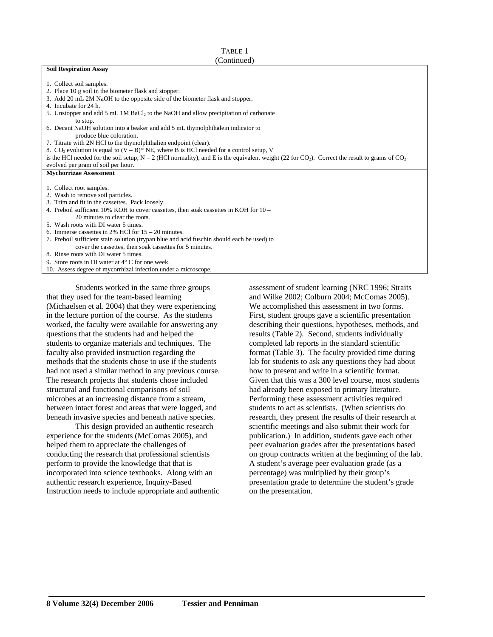# TABLE 1

# (Continued)

#### **Soil Respiration Assay**

- 1. Collect soil samples.
- 2. Place 10 g soil in the biometer flask and stopper.
- 3. Add 20 mL 2M NaOH to the opposite side of the biometer flask and stopper.
- 4. Incubate for 24 h.
- 5. Unstopper and add 5 mL 1M BaCl<sub>2</sub> to the NaOH and allow precipitation of carbonate to stop.
- 6. Decant NaOH solution into a beaker and add 5 mL thymolphthalein indicator to produce blue coloration.
- 7. Titrate with 2N HCl to the thymolphthalien endpoint (clear).
- 8.  $CO<sub>2</sub>$  evolution is equal to  $(V B)^*$  NE, where B is HCl needed for a control setup, V

is the HCl needed for the soil setup,  $N = 2$  (HCl normality), and E is the equivalent weight (22 for CO<sub>2</sub>). Correct the result to grams of CO<sub>2</sub> evolved per gram of soil per hour.

#### **Mychorrizae Assessment**

- 1. Collect root samples.
- 2. Wash to remove soil particles.
- 3. Trim and fit in the cassettes. Pack loosely.
- 4. Preboil sufficient 10% KOH to cover cassettes, then soak cassettes in KOH for 10 20 minutes to clear the roots.
- 5. Wash roots with DI water 5 times.
- 6. Immerse cassettes in 2% HCl for 15 20 minutes.
- 7. Preboil sufficient stain solution (trypan blue and acid fuschin should each be used) to cover the cassettes, then soak cassettes for 5 minutes.

8. Rinse roots with DI water 5 times.

9. Store roots in DI water at 4° C for one week.

10. Assess degree of mycorrhizal infection under a microscope.

Students worked in the same three groups that they used for the team-based learning (Michaelsen et al. 2004) that they were experiencing in the lecture portion of the course. As the students worked, the faculty were available for answering any questions that the students had and helped the students to organize materials and techniques. The faculty also provided instruction regarding the methods that the students chose to use if the students had not used a similar method in any previous course. The research projects that students chose included structural and functional comparisons of soil microbes at an increasing distance from a stream, between intact forest and areas that were logged, and beneath invasive species and beneath native species.

This design provided an authentic research experience for the students (McComas 2005), and helped them to appreciate the challenges of conducting the research that professional scientists perform to provide the knowledge that that is incorporated into science textbooks. Along with an authentic research experience, Inquiry-Based Instruction needs to include appropriate and authentic assessment of student learning (NRC 1996; Straits and Wilke 2002; Colburn 2004; McComas 2005). We accomplished this assessment in two forms. First, student groups gave a scientific presentation describing their questions, hypotheses, methods, and results (Table 2). Second, students individually completed lab reports in the standard scientific format (Table 3). The faculty provided time during lab for students to ask any questions they had about how to present and write in a scientific format. Given that this was a 300 level course, most students had already been exposed to primary literature. Performing these assessment activities required students to act as scientists. (When scientists do research, they present the results of their research at scientific meetings and also submit their work for publication.) In addition, students gave each other peer evaluation grades after the presentations based on group contracts written at the beginning of the lab. A student's average peer evaluation grade (as a percentage) was multiplied by their group's presentation grade to determine the student's grade on the presentation.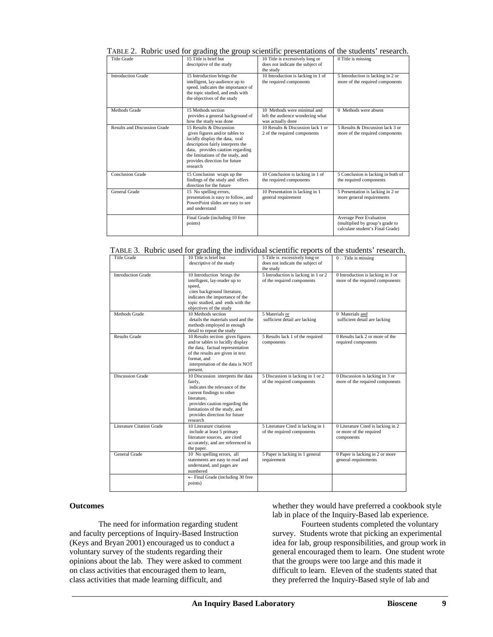| Title Grade                         | 15 Title is brief but<br>descriptive of the study                                                                                                                                                                                                      | 10 Title is excessively long or<br>does not indicate the subject of<br>the study     | 0 Title is missing                                                                                    |
|-------------------------------------|--------------------------------------------------------------------------------------------------------------------------------------------------------------------------------------------------------------------------------------------------------|--------------------------------------------------------------------------------------|-------------------------------------------------------------------------------------------------------|
| <b>Introduction Grade</b>           | 15 Introduction brings the<br>intelligent, lay-audience up to<br>speed, indicates the importance of<br>the topic studied, and ends with<br>the objectives of the study                                                                                 | 10 Introduction is lacking in 1 of<br>the required components                        | 5 Introduction is lacking in 2 or<br>more of the required components                                  |
| Methods Grade                       | 15 Methods section<br>provides a general background of<br>how the study was done                                                                                                                                                                       | 10 Methods were minimal and<br>left the audience wondering what<br>was actually done | 0 Methods were absent                                                                                 |
| <b>Results and Discussion Grade</b> | 15 Results & Discussion<br>gives figures and/or tables to<br>lucidly display the data, oral<br>description fairly interprets the<br>data, provides caution regarding<br>the limitations of the study, and<br>provides direction for future<br>research | 10 Results & Discussion lack 1 or<br>2 of the required components                    | 5 Results & Discussion lack 3 or<br>more of the required components                                   |
| <b>Conclusion Grade</b>             | 15 Conclusion wraps up the<br>findings of the study and offers<br>direction for the future                                                                                                                                                             | 10 Conclusion is lacking in 1 of<br>the required components                          | 5 Conclusion is lacking in both of<br>the required components                                         |
| General Grade                       | 15 No spelling errors,<br>presentation is easy to follow, and<br>PowerPoint slides are easy to see<br>and understand                                                                                                                                   | 10 Presentation is lacking in 1<br>general requirement                               | 5 Presentation is lacking in 2 or<br>more general requirements                                        |
|                                     | Final Grade (including 10 free<br>points)                                                                                                                                                                                                              |                                                                                      | <b>Average Peer Evaluation</b><br>(multiplied by group's grade to<br>calculate student's Final Grade) |

TABLE 2. Rubric used for grading the group scientific presentations of the students' research.

| TABLE 3. Rubric used for grading the individual scientific reports of the students' research. |  |  |  |
|-----------------------------------------------------------------------------------------------|--|--|--|
|                                                                                               |  |  |  |

| <b>Title Grade</b>               | 10 Title is brief but<br>descriptive of the study                                                                                                                                                                                          | 5 Title is excessively long or<br>does not indicate the subject of<br>the study | $0 \square$ Title is missing                                                |
|----------------------------------|--------------------------------------------------------------------------------------------------------------------------------------------------------------------------------------------------------------------------------------------|---------------------------------------------------------------------------------|-----------------------------------------------------------------------------|
| <b>Introduction Grade</b>        | 10 Introduction brings the<br>intelligent, lay-reader up to<br>speed,<br>cites background literature,<br>indicates the importance of the<br>topic studied, and ends with the<br>objectives of the study                                    | 5 Introduction is lacking in 1 or 2<br>of the required components               | 0 Introduction is lacking in 3 or<br>more of the required components        |
| Methods Grade                    | 10 Methods section<br>details the materials used and the<br>methods employed in enough<br>detail to repeat the study                                                                                                                       | 5 Materials or<br>sufficient detail are lacking                                 | 0 Materials and<br>sufficient detail are lacking                            |
| <b>Results Grade</b>             | 10 Results section gives figures<br>and/or tables to lucidly display<br>the data, factual representation<br>of the results are given in text<br>format, and<br>interpretation of the data is NOT<br>present.                               | 5 Results lack 1 of the required<br>components                                  | 0 Results lack 2 or more of the<br>required components                      |
| <b>Discussion Grade</b>          | 10 Discussion interprets the data<br>fairly.<br>indicates the relevance of the<br>current findings to other<br>literature.<br>provides caution regarding the<br>limitations of the study, and<br>provides direction for future<br>research | 5 Discussion is lacking in 1 or 2<br>of the required components                 | 0 Discussion is lacking in 3 or<br>more of the required components          |
| <b>Literature Citation Grade</b> | 10 Literature citations<br>include at least 5 primary<br>literature sources, are cited<br>accurately, and are referenced in<br>the paper.                                                                                                  | 5 Literature Cited is lacking in 1<br>of the required components                | 0 Literature Cited is lacking in 2<br>or more of the required<br>components |
| General Grade                    | 10 No spelling errors, all<br>statements are easy to read and<br>understand, and pages are<br>numbered                                                                                                                                     | 5 Paper is lacking in 1 general<br>requirement                                  | 0 Paper is lacking in 2 or more<br>general requirements                     |
|                                  | $\leftarrow$ Final Grade (including 30 free<br>points)                                                                                                                                                                                     |                                                                                 |                                                                             |

## **Outcomes**

The need for information regarding student and faculty perceptions of Inquiry-Based Instruction (Keys and Bryan 2001) encouraged us to conduct a voluntary survey of the students regarding their opinions about the lab. They were asked to comment on class activities that encouraged them to learn, class activities that made learning difficult, and

whether they would have preferred a cookbook style lab in place of the Inquiry-Based lab experience.

Fourteen students completed the voluntary survey. Students wrote that picking an experimental idea for lab, group responsibilities, and group work in general encouraged them to learn. One student wrote that the groups were too large and this made it difficult to learn. Eleven of the students stated that they preferred the Inquiry-Based style of lab and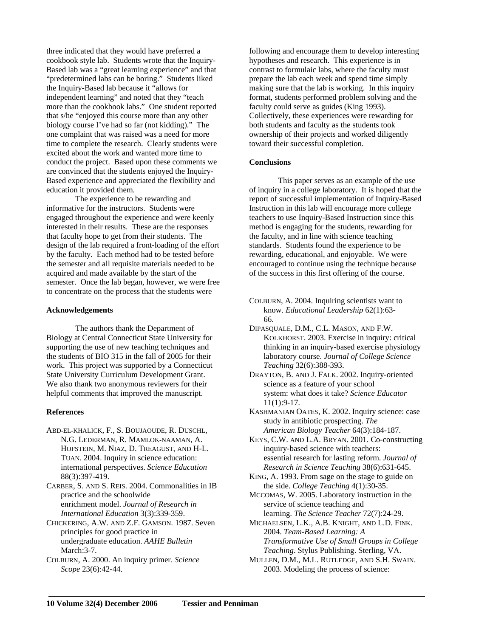three indicated that they would have preferred a cookbook style lab. Students wrote that the Inquiry-Based lab was a "great learning experience" and that "predetermined labs can be boring." Students liked the Inquiry-Based lab because it "allows for independent learning" and noted that they "teach more than the cookbook labs." One student reported that s/he "enjoyed this course more than any other biology course I've had so far (not kidding)." The one complaint that was raised was a need for more time to complete the research. Clearly students were excited about the work and wanted more time to conduct the project. Based upon these comments we are convinced that the students enjoyed the Inquiry-Based experience and appreciated the flexibility and education it provided them.

The experience to be rewarding and informative for the instructors. Students were engaged throughout the experience and were keenly interested in their results. These are the responses that faculty hope to get from their students. The design of the lab required a front-loading of the effort by the faculty. Each method had to be tested before the semester and all requisite materials needed to be acquired and made available by the start of the semester. Once the lab began, however, we were free to concentrate on the process that the students were

### **Acknowledgements**

The authors thank the Department of Biology at Central Connecticut State University for supporting the use of new teaching techniques and the students of BIO 315 in the fall of 2005 for their work. This project was supported by a Connecticut State University Curriculum Development Grant. We also thank two anonymous reviewers for their helpful comments that improved the manuscript.

### **References**

ABD-EL-KHALICK, F., S. BOUJAOUDE, R. DUSCHL, N.G. LEDERMAN, R. MAMLOK-NAAMAN, A. HOFSTEIN, M. NIAZ, D. TREAGUST, AND H-L. TUAN. 2004. Inquiry in science education: international perspectives. *Science Education* 88(3):397-419.

CARBER, S. AND S. REIS. 2004. Commonalities in IB practice and the schoolwide enrichment model. *Journal of Research in International Education* 3(3):339-359.

CHICKERING, A.W. AND Z.F. GAMSON. 1987. Seven principles for good practice in undergraduate education. *AAHE Bulletin* March: 3-7.

COLBURN, A. 2000. An inquiry primer. *Science Scope* 23(6):42-44.

following and encourage them to develop interesting hypotheses and research. This experience is in contrast to formulaic labs, where the faculty must prepare the lab each week and spend time simply making sure that the lab is working. In this inquiry format, students performed problem solving and the faculty could serve as guides (King 1993). Collectively, these experiences were rewarding for both students and faculty as the students took ownership of their projects and worked diligently toward their successful completion.

# **Conclusions**

This paper serves as an example of the use of inquiry in a college laboratory. It is hoped that the report of successful implementation of Inquiry-Based Instruction in this lab will encourage more college teachers to use Inquiry-Based Instruction since this method is engaging for the students, rewarding for the faculty, and in line with science teaching standards. Students found the experience to be rewarding, educational, and enjoyable. We were encouraged to continue using the technique because of the success in this first offering of the course.

COLBURN, A. 2004. Inquiring scientists want to know. *Educational Leadership* 62(1):63- 66.

DIPASQUALE, D.M., C.L. MASON, AND F.W. KOLKHORST. 2003. Exercise in inquiry: critical thinking in an inquiry-based exercise physiology laboratory course. *Journal of College Science Teaching* 32(6):388-393.

- DRAYTON, B. AND J. FALK. 2002. Inquiry-oriented science as a feature of your school system: what does it take? *Science Educator* 11(1):9-17.
- KASHMANIAN OATES, K. 2002. Inquiry science: case study in antibiotic prospecting. *The American Biology Teacher* 64(3):184-187.

KEYS, C.W. AND L.A. BRYAN. 2001. Co-constructing inquiry-based science with teachers: essential research for lasting reform. *Journal of Research in Science Teaching* 38(6):631-645.

KING, A. 1993. From sage on the stage to guide on the side. *College Teaching* 4(1):30-35.

MCCOMAS, W. 2005. Laboratory instruction in the service of science teaching and learning. *The Science Teacher* 72(7):24-29.

- MICHAELSEN, L.K., A.B. KNIGHT, AND L.D. FINK. 2004. *Team-Based Learning: A Transformative Use of Small Groups in College Teaching*. Stylus Publishing. Sterling, VA.
- MULLEN, D.M., M.L. RUTLEDGE, AND S.H. SWAIN. 2003. Modeling the process of science: